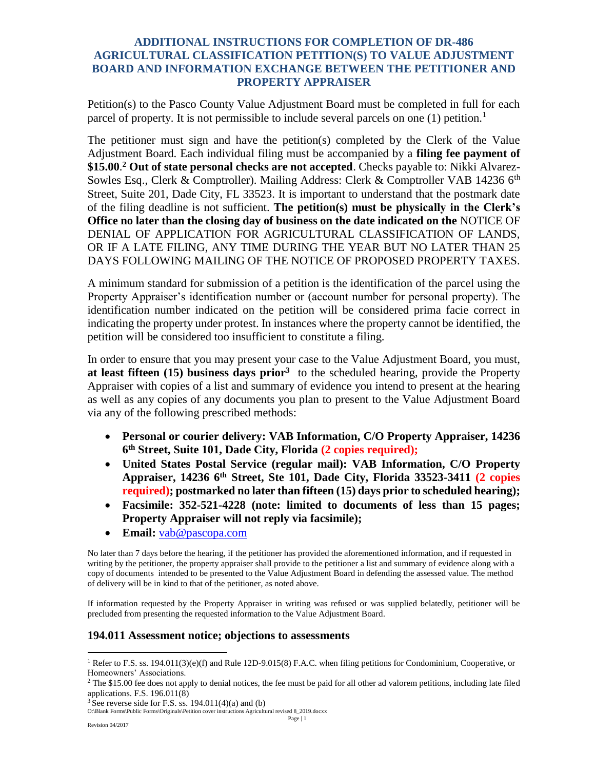## **ADDITIONAL INSTRUCTIONS FOR COMPLETION OF DR-486 AGRICULTURAL CLASSIFICATION PETITION(S) TO VALUE ADJUSTMENT BOARD AND INFORMATION EXCHANGE BETWEEN THE PETITIONER AND PROPERTY APPRAISER**

Petition(s) to the Pasco County Value Adjustment Board must be completed in full for each parcel of property. It is not permissible to include several parcels on one  $(1)$  petition.<sup>1</sup>

The petitioner must sign and have the petition(s) completed by the Clerk of the Value Adjustment Board. Each individual filing must be accompanied by a **filing fee payment of \$15.00**. **<sup>2</sup> Out of state personal checks are not accepted**. Checks payable to: Nikki Alvarez-Sowles Esq., Clerk & Comptroller). Mailing Address: Clerk & Comptroller VAB 14236 6<sup>th</sup> Street, Suite 201, Dade City, FL 33523. It is important to understand that the postmark date of the filing deadline is not sufficient. **The petition(s) must be physically in the Clerk's Office no later than the closing day of business on the date indicated on the** NOTICE OF DENIAL OF APPLICATION FOR AGRICULTURAL CLASSIFICATION OF LANDS, OR IF A LATE FILING, ANY TIME DURING THE YEAR BUT NO LATER THAN 25 DAYS FOLLOWING MAILING OF THE NOTICE OF PROPOSED PROPERTY TAXES.

A minimum standard for submission of a petition is the identification of the parcel using the Property Appraiser's identification number or (account number for personal property). The identification number indicated on the petition will be considered prima facie correct in indicating the property under protest. In instances where the property cannot be identified, the petition will be considered too insufficient to constitute a filing.

In order to ensure that you may present your case to the Value Adjustment Board, you must, **at least fifteen (15) business days prior<sup>3</sup>** to the scheduled hearing, provide the Property Appraiser with copies of a list and summary of evidence you intend to present at the hearing as well as any copies of any documents you plan to present to the Value Adjustment Board via any of the following prescribed methods:

- **Personal or courier delivery: VAB Information, C/O Property Appraiser, 14236 6 th Street, Suite 101, Dade City, Florida (2 copies required);**
- **United States Postal Service (regular mail): VAB Information, C/O Property Appraiser, 14236 6th Street, Ste 101, Dade City, Florida 33523-3411 (2 copies required); postmarked no later than fifteen (15) days prior to scheduled hearing);**
- **Facsimile: 352-521-4228 (note: limited to documents of less than 15 pages; Property Appraiser will not reply via facsimile);**
- **Email:** [vab@pascopa.com](mailto:vab@pascopa.com)

No later than 7 days before the hearing, if the petitioner has provided the aforementioned information, and if requested in writing by the petitioner, the property appraiser shall provide to the petitioner a list and summary of evidence along with a copy of documents intended to be presented to the Value Adjustment Board in defending the assessed value. The method of delivery will be in kind to that of the petitioner, as noted above.

If information requested by the Property Appraiser in writing was refused or was supplied belatedly, petitioner will be precluded from presenting the requested information to the Value Adjustment Board.

## **194.011 Assessment notice; objections to assessments**

 $\overline{a}$ 

<sup>&</sup>lt;sup>1</sup> Refer to F.S. ss. 194.011(3)(e)(f) and Rule 12D-9.015(8) F.A.C. when filing petitions for Condominium, Cooperative, or Homeowners' Associations.

 $2$  The \$15.00 fee does not apply to denial notices, the fee must be paid for all other ad valorem petitions, including late filed applications. F.S. 196.011(8)

 $3$  See reverse side for F.S. ss. 194.011(4)(a) and (b)

O:\Blank Forms\Public Forms\Originals\Petition cover instructions Agricultural revised 8\_2019.docxx Page | 1